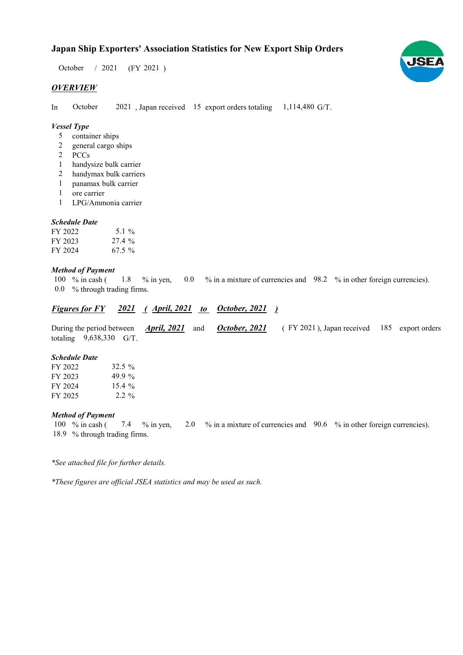$/ 2021$  (FY 2021) October / 2021

# *OVERVIEW*

In October 2021, Japan received 15 export orders totaling 1,114,480 G/T. October

# *Vessel Type*

- container ships 5
- general cargo ships 2
- PCCs 2
- handysize bulk carrier 1
- handymax bulk carriers 2
- panamax bulk carrier 1
- ore carrier 1
- LPG/Ammonia carrier 1

## *Schedule Date*

| FY 2022 | 5.1 $\%$ |
|---------|----------|
| FY 2023 | $27.4\%$ |
| FY 2024 | $67.5\%$ |

## *Method of Payment*

100 % in cash (1.8 % in yen, 0.0 % in a mixture of currencies and 98.2 % in other foreign currencies). % through trading firms. 0.0 1.8

# *Figures for FY* 2021 (*April, 2021 to October, 2021* )

During the period between *April, 2021* and *October, 2021* (FY 2021), Japan received 185 export orders totaling  $9,638,330$  G/T. *October, 2021 April, 2021*

#### *Schedule Date*

| FY 2022 | $32.5 \%$ |
|---------|-----------|
| FY 2023 | 49.9 %    |
| FY 2024 | $15.4\%$  |
| FY 2025 | $2.2\%$   |

## *Method of Payment*

% in cash ( $\frac{7.4}{8}$  % in yen,  $\frac{2.0}{8}$  % in a mixture of currencies and  $\frac{90.6}{8}$  % in other foreign currencies). 18.9 % through trading firms. 100 % in cash (

*\*See attached file for further details.*

*\*These figures are official JSEA statistics and may be used as such.*

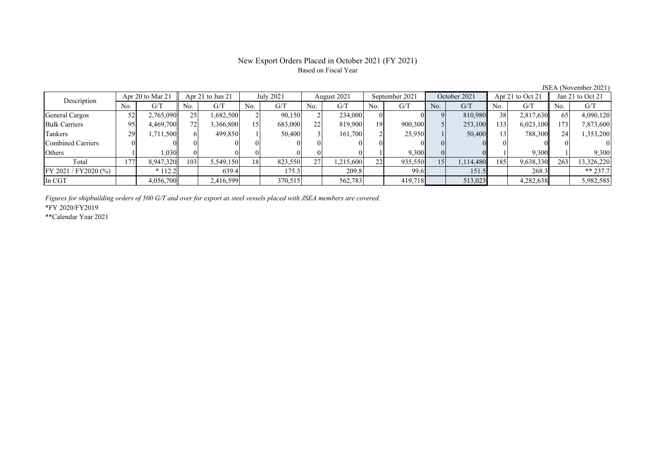# New Export Orders Placed in October 2021 (FY 2021) Based on Fiscal Year

No. G/T No. G/T No. G/T No. G/T No. G/T No. G/T No. G/T No. G/T $G/T$ General Cargos ( 52 2,765,090 25 1,682,500 2 90,150 2 234,000 0 0 9 810,980 38 2,817,630 65 4,090,120 Bulk Carriers 95 4,469,700 72 3,366,800 15 683,000 22 819,900 19 900,300 5 253,100 133 6,023,100 173 7,873,600 Tankers | 29 1,711,500 6 499,850 1 50,400 3 161,700 2 25,950 1 50,400 13 788,300 24 1,353,200 Combined Carriers 0 0 0 0 0 0 0 0 0 0 0 0 0 0 0 0Others 1 1 1,030 0 0 0 0 0 0 0 0 1 9,300 0 0 1 9,300 1 9,300 Total 177 8,947,320 103 5,549,150 18 823,550 27 1,215,600 22 935,550 15 1,114,480 185 9,638,330 263 13,326,220 FY 2021 / FY2020 (%) \* 112.2 639.4 175.3 209.8 99.6 151.5 268.3 \*\* 237.7 In CGT | | 4,056,700 | | 2,416,599 | | 370,515 | | 562,783 | | 419,718 | | 513,023 | | 4,282,638 | | 5,982,585 Apr 21 to Jun 21 July 2021 August 2021 Description Apr 20 to Mar 21 | Apr 21 to Jun 21 | July 2021 | August 2021 | September 2021 | October 2021 | Apr 21 to Oct 21 | Jan 21 to Oct 21

*Figures for shipbuilding orders of 500 G/T and over for export as steel vessels placed with JSEA members are covered.*

\*FY 2020/FY2019

\*\*Calendar Year 2021

JSEA (November 2021)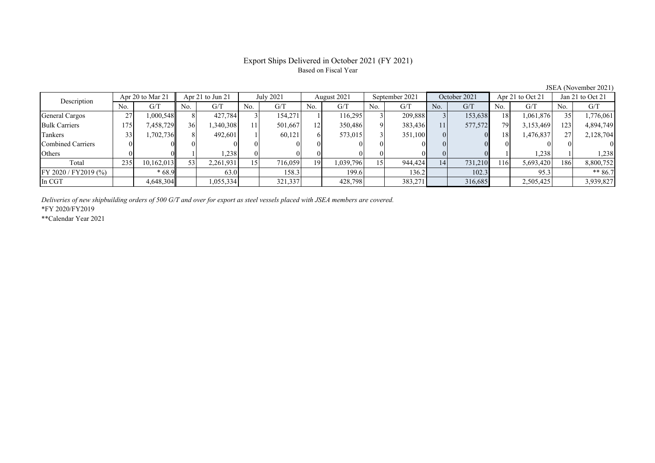# Export Ships Delivered in October 2021 (FY 2021) Based on Fiscal Year

JSEA (November 2021)<br>
Jan 21 to Oct 21 No. G/T No. G/T No. G/T No. G/T No. G/T No. G/T No. G/T No. G/T $\mathrm{G}/\mathrm{T}$ General Cargos | 27 | 1,000,548 | 8 | 427,784 | 3 | 154,271 | 1 | 116,295 | 3 | 209,888 | 3 | 153,638 | 18 | 1,061,876 | 35 | 1,776,061 Bulk Carriers 175 7,458,729 36 1,340,308 11 501,667 12 350,486 9 383,436 11 577,572 79 3,153,469 123 4,894,749 Tankers | 33| 1,702,736|| 8| 492,601| 1| 60,121| 6| 573,015| 3| 351,100| 0| 0| 18| 1,476,837| 27| 2,128,704 Combined Carriers 0 0 0 0 0 0 0 0 0 0 0 0 0 0 0 0Others ( 0 0 0 1 1,238 0 0 0 0 0 0 0 0 0 1 1,238 1 1,238 Total 235 10,162,013 53 2,261,931 15 716,059 19 1,039,796 15 944,424 14 731,210 116 5,693,420 186 8,800,752 FY 2020 / FY2019 (%) \* 68.9 63.0 158.3 199.6 136.2 102.3 95.3 \*\* 86.7 In CGT | | 4,648,304 | | 1,055,334 | | 321,337 | | 428,798 | 383,271 | | 316,685 | | 2,505,425 | | 3,939,827 Apr 20 to Mar 21 Apr 21 to Jun 21 July 2021 August 2021 September 2021 October 2021 Apr 21 to Oct 21 Jan 21 to Oct 21 Description

*Deliveries of new shipbuilding orders of 500 G/T and over for export as steel vessels placed with JSEA members are covered.*

\*FY 2020/FY2019

\*\*Calendar Year 2021